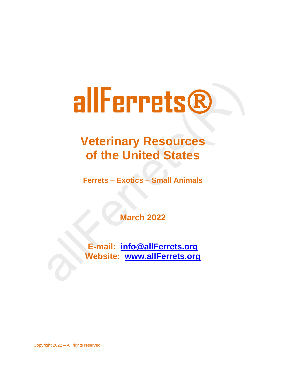# **Veterinary Resources of the United States**

**Ferrets – Exotics – Small Animals**

**March 2022**

**E-mail: [info@allFerrets.org](mailto:info@allFerrets.org) Website: [www.allFerrets.org](http://www.allferrets.org/)**

Copyright 2022 – All rights reserved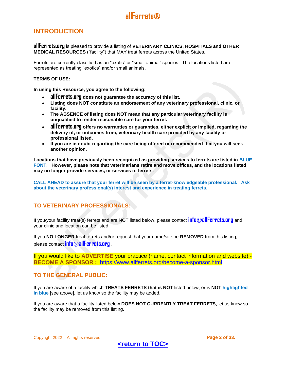## <span id="page-1-0"></span>**INTRODUCTION**

**allFerrets.org** is pleased to provide a listing of **VETERINARY CLINICS, HOSPITALS and OTHER MEDICAL RESOURCES** ("facility") that MAY treat ferrets across the United States.

Ferrets are currently classified as an "exotic" or "small animal" species. The locations listed are represented as treating "exotics" and/or small animals.

#### **TERMS OF USE:**

**In using this Resource, you agree to the following:** 

- **allFerrets.org does not guarantee the accuracy of this list.**
- **Listing does NOT constitute an endorsement of any veterinary professional, clinic, or facility.**
- **The ABSENCE of listing does NOT mean that any particular veterinary facility is unqualified to render reasonable care for your ferret.**
- **allFerrets.org offers no warranties or guaranties, either explicit or implied, regarding the delivery of, or outcomes from, veterinary health care provided by any facility or professional listed.**
- **If you are in doubt regarding the care being offered or recommended that you will seek another opinion.**

**Locations that have previously been recognized as providing services to ferrets are listed in BLUE FONT. However, please note that veterinarians retire and move offices, and the locations listed may no longer provide services, or services to ferrets.** 

**CALL AHEAD to assure that your ferret will be seen by a ferret-knowledgeable professional. Ask about the veterinary professional(s) interest and experience in treating ferrets.** 

## **TO VETERINARY PROFESSIONALS:**

If you/your facility treat(s) ferrets and are NOT listed below, please contact **info@[allFerrets.org](mailto:info@allFerrets.org)** and your clinic and location can be listed.

If you **NO LONGER** treat ferrets and/or request that your name/site be **REMOVED** from this listing, please contact **info@[allFerrets.org](mailto:info@allFerrets.org)** .

If you would like to **ADVERTISE** your practice (name, contact information and website) - **BECOME A SPONSOR :** <https://www.allferrets.org/become-a-sponsor.html>

## **TO THE GENERAL PUBLIC:**

If you are aware of a facility which **TREATS FERRETS that is NOT** listed below, or is **NOT highlighted in blue** [see above], let us know so the facility may be added.

If you are aware that a facility listed below **DOES NOT CURRENTLY TREAT FERRETS,** let us know so the facility may be removed from this listing.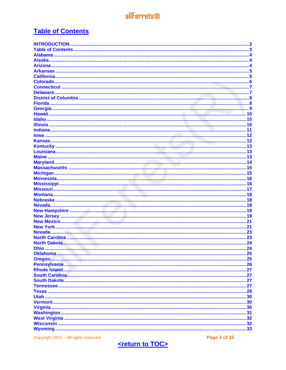# <span id="page-2-0"></span>**Table of Contents**

| <b>INTRODUCTION.</b> |  |
|----------------------|--|
|                      |  |
|                      |  |
|                      |  |
|                      |  |
|                      |  |
|                      |  |
|                      |  |
|                      |  |
|                      |  |
|                      |  |
|                      |  |
|                      |  |
|                      |  |
|                      |  |
|                      |  |
|                      |  |
|                      |  |
|                      |  |
|                      |  |
|                      |  |
|                      |  |
|                      |  |
|                      |  |
|                      |  |
|                      |  |
|                      |  |
|                      |  |
|                      |  |
|                      |  |
|                      |  |
|                      |  |
|                      |  |
|                      |  |
|                      |  |
|                      |  |
|                      |  |
|                      |  |
|                      |  |
|                      |  |
|                      |  |
|                      |  |
|                      |  |
|                      |  |
|                      |  |
|                      |  |
|                      |  |
|                      |  |
|                      |  |
|                      |  |
|                      |  |
|                      |  |
|                      |  |
|                      |  |
|                      |  |
|                      |  |

Copyright 2022 - All rights reserved

Page 3 of 33.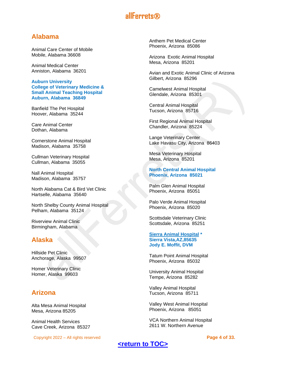## <span id="page-3-0"></span>**Alabama**

Animal Care Center of Mobile Mobile, Alabama 36608

Animal Medical Center Anniston, Alabama 36201

**Auburn University College of Veterinary Medicine & Small Animal Teaching Hospital Auburn, Alabama 36849** 

Banfield The Pet Hospital Hoover, Alabama 35244

Care Animal Center Dothan, Alabama

Cornerstone Animal Hospital Madison, Alabama 35758

Cullman Veterinary Hospital Cullman, Alabama 35055

Nall Animal Hospital Madison, Alabama 35757

North Alabama Cat & Bird Vet Clinic Hartselle, Alabama 35640

North Shelby County Animal Hospital Pelham, Alabama 35124

Riverview Animal Clinic Birmingham, Alabama

## <span id="page-3-1"></span>**Alaska**

Hillside Pet Clinic Anchorage, Alaska 99507

Homer Veterinary Clinic Homer, Alaska 99603

## <span id="page-3-2"></span>**Arizona**

Alta Mesa Animal Hospital Mesa, Arizona 85205

Animal Health Services Cave Creek, Arizona 85327

Copyright 2022 – All rights reserved **Page 4 of 33.**

Anthem Pet Medical Center Phoenix, Arizona 85086

Arizona Exotic Animal Hospital Mesa, Arizona 85201

Avian and Exotic Animal Clinic of Arizona Gilbert, Arizona 85296

Camelwest Animal Hospital Glendale, Arizona 85301

Central Animal Hospital Tucson, Arizona 85716

First Regional Animal Hospital Chandler, Arizona 85224

Lange Veterinary Center Lake Havasu City, Arizona 86403

Mesa Veterinary Hospital Mesa, Arizona 85201

#### **North Central Animal Hospital Phoenix, Arizona 85021**

Palm Glen Animal Hospital Phoenix, Arizona 85051

Palo Verde Animal Hospital Phoenix, Arizona 85020

Scottsdale Veterinary Clinic Scottsdale, Arizona 85251

#### **[Sierra Animal Hospital](https://doctor.webmd.com/practice/sierra-animal-hospital-ba42b7de-ab20-4f11-9add-861fba04259e-overview) \* Sierra Vista,AZ,85635 Jody E. Moffit, DVM**

Tatum Point Animal Hospital Phoenix, Arizona 85032

University Animal Hospital Tempe, Arizona 85282

Valley Animal Hospital Tucson, Arizona 85711

Valley West Animal Hospital Phoenix, Arizona 85051

VCA Northern Animal Hospital 2611 W. Northern Avenue

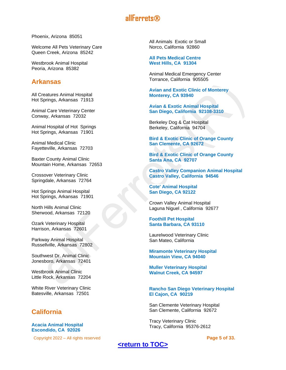Phoenix, Arizona 85051

Welcome All Pets Veterinary Care Queen Creek, Arizona 85242

Westbrook Animal Hospital Peoria, Arizona 85382

## <span id="page-4-0"></span>**Arkansas**

All Creatures Animal Hospital Hot Springs, Arkansas 71913

Animal Care Veterinary Center Conway, Arkansas 72032

Animal Hospital of Hot Springs Hot Springs, Arkansas 71901

Animal Medical Clinic Fayetteville, Arkansas 72703

Baxter County Animal Clinic Mountain Home, Arkansas 72653

Crossover Veterinary Clinic Springdale, Arkansas 72764

Hot Springs Animal Hospital Hot Springs, Arkansas 71901

North Hills Animal Clinic Sherwood, Arkansas 72120

Ozark Veterinary Hospital Harrison, Arkansas 72601

Parkway Animal Hospital Russellville, Arkansas 72802

Southwest Dr. Animal Clinic Jonesboro, Arkansas 72401

Westbrook Animal Clinic Little Rock, Arkansas 72204

White River Veterinary Clinic Batesville, Arkansas 72501

## <span id="page-4-1"></span>**California**

**Acacia Animal Hospital Escondido, CA 92026**

Copyright 2022 – All rights reserved **Page 5 of 33.**

All Animals Exotic or Small Norco, California 92860

**All Pets Medical Centre West Hills, CA 91304**

Animal Medical Emergency Center Torrance, California 905505

**Avian and Exotic Clinic of Monterey Monterey, CA 93940**

**Avian & Exotic Animal Hospital San Diego, California 92108-3310**

Berkeley Dog & Cat Hospital Berkeley, California 94704

**Bird & Exotic Clinic of Orange County San Clemente, CA 92672**

**Bird & Exotic Clinic of Orange County Santa Ana, CA 92707**

**Castro Valley Companion Animal Hospital Castro Valley, California 94546**

**Cote' Animal Hospital San Diego, CA 92122**

Crown Valley Animal Hospital Laguna Niguel , California 92677

**Foothill Pet Hospital Santa Barbara, CA 93110**

Laurelwood Veterinary Clinic San Mateo, California

**Miramonte Veterinary Hospital Mountain View, CA 94040**

**Muller Veterinary Hospital Walnut Creek, CA 94597**

**Rancho San Diego Veterinary Hospital El Cajon, CA 90219**

San Clemente Veterinary Hospital San Clemente, California 92672

Tracy Veterinary Clinic Tracy, California 95376-2612

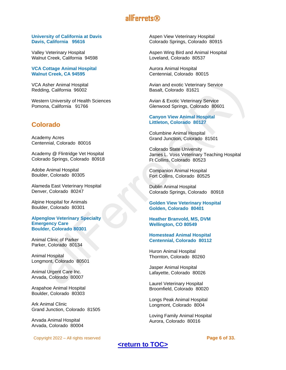#### **University of California at Davis Davis, California 95616**

Valley Veterinary Hospital Walnut Creek, California 94598

**VCA Cottage Animal Hospital Walnut Creek, CA 94595**

VCA Asher Animal Hospital Redding, California 96002

Western University of Health Sciences Pomona, California 91766

## <span id="page-5-0"></span>**Colorado**

Academy Acres Centennial, Colorado 80016

Academy @ Flintridge Vet Hospital Colorado Springs, Colorado 80918

Adobe Animal Hospital Boulder, Colorado 80305

Alameda East Veterinary Hospital Denver, Colorado 80247

Alpine Hospital for Animals Boulder, Colorado 80301

**Alpenglow Veterinary Specialty Emergency Care Boulder, Colorado 80301**

Animal Clinic of Parker Parker, Colorado 80134

Animal Hospital Longmont, Colorado 80501

Animal Urgent Care Inc. Arvada, Colorado 80007

Arapahoe Animal Hospital Boulder, Colorado 80303

Ark Animal Clinic Grand Junction, Colorado 81505

Arvada Animal Hospital Arvada, Colorado 80004

Copyright 2022 – All rights reserved **Page 6 of 33.**

Aspen View Veterinary Hospital Colorado Springs, Colorado 80915

Aspen Wing Bird and Animal Hospital Loveland, Colorado 80537

Aurora Animal Hospital Centennial, Colorado 80015

Avian and exotic Veterinary Service Basalt, Colorado 81621

Avian & Exotic Veterinary Service Glenwood Springs, Colorado 80601

#### **Canyon View Animal Hospital Littleton, Colorado 80127**

Columbine Animal Hospital Grand Junction, Colorado 81501

Colorado State University James L. Voss Veterinary Teaching Hospital Ft Collins, Colorado 80523

Companion Animal Hospital Fort Collins, Colorado 80525

Dublin Animal Hospital Colorado Springs, Colorado 80918

**Golden View Veterinary Hospital Golden, Colorado 80401**

**Heather Branvold, MS, DVM Wellington, CO 80549**

#### **Homestead Animal Hospital Centennial, Colorado 80112**

Huron Animal Hospital Thornton, Colorado 80260

Jasper Animal Hospital Lafayette, Colorado 80026

Laurel Veterinary Hospital Broomfield, Colorado 80020

Longs Peak Animal Hospital Longmont, Colorado 8004

Loving Family Animal Hospital Aurora, Colorado 80016

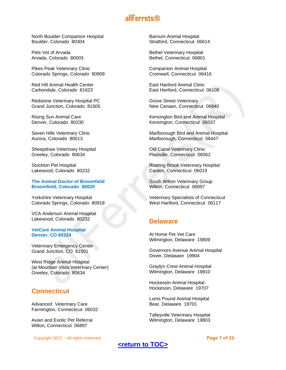North Boulder Companion Hospital Boulder, Colorado 80304

Pets Vet of Arvada Arvada, Colorado 80003

Pikes Peak Veterinary Clinic Colorado Springs, Colorado 80909

Red Hill Animal Health Center Carbondale, Colorado 81623

Redstone Veterinary Hospital PC Grand Junction, Colorado 81505

Rising Sun Animal Care Denver, Colorado 80230

Seven Hills Veterinary Clinic Aurora, Colorado 80013

Sheepdraw Veterinary Hospital Greeley, Colorado 80634

Stockton Pet Hospital Lakewood, Colorado 80232

**The Animal Doctor of Broomfield Broomfield, Colorado 80020**

Yorkshire Veterinary Hospital Colorado Springs, Colorado 80918

VCA Anderson Animal Hospital Lakewood, Colorado 80232

**VetCare Animal Hospital Denver, CO 80224**

Veterinary Emergency Center Grand Junction, CO 81501

West Ridge Animal Hospital (at Mountain Vista Veterinary Center) Greeley, Colorado 80634

## <span id="page-6-0"></span>**Connecticut**

Advanced Veterinary Care Farmington, Connecticut 06032

Avian and Exotic Pet Referral Wilton, Connecticut 06897

Copyright 2022 – All rights reserved **Page 7 of 33.**

Barnum Animal Hospital Stratford, Connecticut 06614

Bethel Veterinary Hospital Bethel, Connecticut 06801

Companion Animal Hospital Cromwell, Connecticut 06416

East Hanford Animal Clinic East Hanford, Connecticut 06108

Grove Street Veterinary New Canaan, Connecticut 06840

Kensington Bird and Animal Hospital Kensington, Connecticut 06037

Marlborough Bird and Animal Hospital Marlborough, Connecticut 06447

Old Canal Veterinary Clinic Plainville, Connecticut 06062

Roaring Brook Veterinary Hospital Canton, Connecticut 06019

South Wilton Veterinary Group Wilton, Connecticut 06897

Veterinary Specialists of Connecticut West Hartford, Connecticut 06117

## <span id="page-6-1"></span>**Delaware**

At Home Pet Vet Care Wilmington, Delaware 19809

Governors Avenue Animal Hospital Dover, Delaware 19904

Graylyn Crest Animal Hospital Wilmington, Delaware 19810

Hockessin Animal Hospital Hockessin, Delaware 19707

Lums Pound Animal Hospital Bear, Delaware 19701

Talleyville Veterinary Hospital Wilmington, Delaware 19803

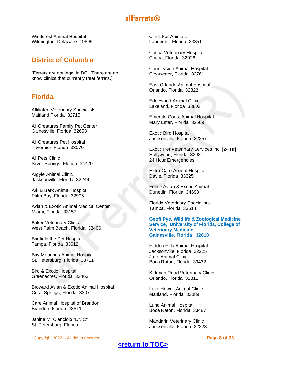Windcrest Animal Hospital Wilmington, Delaware 19805

## <span id="page-7-0"></span>**District of Columbia**

[Ferrets are not legal in DC. There are no know clinics that currently treat ferrets.]

## <span id="page-7-1"></span>**Florida**

Affiliated Veterinary Specialists Maitland Florida 32715

All Creatures Family Pet Center Gainesville, Florida 32653

All Creatures Pet Hospital Tavernier, Florida 33070

All Pets Clinic Silver Springs, Florida 34470

Argyle Animal Clinic Jacksonville, Florida 32244

Ark & Bark Animal Hospital Palm Bay, Florida 32905

Avian & Exotic Animal Medical Center Miami, Florida 33157

Baker Veterinary Clinic West Palm Beach, Florida 33406

Banfield the Pet Hospital Tampa, Florida 33612

Bay Moorings Animal Hospital St. Petersburg, Florida 33711

Bird & Exotic Hospital Greenacres, Florida 33463

Broward Avian & Exotic Animal Hospital Coral Springs, Florida 33071

Care Animal Hospital of Brandon Brandon, Florida 33511

Janine M. Cianciolo "Dr. C" St. Petersburg, Florida

Copyright 2022 – All rights reserved **Page 8 of 33.**

Clinic For Animals Lauderhill, Florida 33351

Cocoa Veterinary Hospital Cocoa, Florida 32926

Countryside Animal Hospital Clearwater, Florida 33761

East Orlando Animal Hospital Orlando, Florida 32822

Edgewood Animal Clinic Lakeland, Florida 33803

Emerald Coast Animal Hospital Mary Ester, Florida 32569

Exotic Bird Hospital Jacksonville, Florida 32257

Exotic Pet Veterinary Services Inc. [24 Hr] Hollywood, Florida 33021 24 Hour Emergencies

Extra-Care Animal Hospital Davie, Florida 33325

Feline Avian & Exotic Animal Dunedin, Florida 34698

Florida Veterinary Specialists Tampa, Florida 33614

**Geoff Pye, Wildlife & Zoological Medicine Service, University of Florida, College of Veterinary Medicine Gainesville, Florida 32610**

Hidden Hills Animal Hospital Jacksonville, Florida 32225 Jaffe Animal Clinic Boca Raton, Florida 33432

Kirkman Road Veterinary Clinic Orlando, Florida 32811

Lake Howell Animal Clinic Maitland, Florida 33089

Lund Animal Hospital Boca Raton, Florida 33487

Mandarin Veterinary Clinic Jacksonville, Florida 32223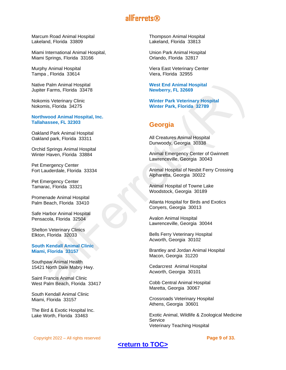Marcum Road Animal Hospital Lakeland, Florida 33809

Miami International Animal Hospital, Miami Springs, Florida 33166

Murphy Animal Hospital Tampa , Florida 33614

Native Palm Animal Hospital Jupiter Farms, Florida 33478

Nokomis Veterinary Clinic Nokomis, Florida 34275

#### **Northwood Animal Hospital, Inc. Tallahassee, FL 32303**

Oakland Park Animal Hospital Oakland park, Florida 33311

Orchid Springs Animal Hospital Winter Haven, Florida 33884

Pet Emergency Center Fort Lauderdale, Florida 33334

Pet Emergency Center Tamarac, Florida 33321

Promenade Animal Hospital Palm Beach, Florida 33410

Safe Harbor Animal Hospital Pensacola, Florida 32504

Shelton Veterinary Clinics Elkton, Florida 32033

#### **South Kendall Animal Clinic Miami, Florida 33157**

Southpaw Animal Health 15421 North Dale Mabry Hwy.

Saint Francis Animal Clinic West Palm Beach, Florida 33417

South Kendall Animal Clinic Miami, Florida 33157

The Bird & Exotic Hospital Inc. Lake Worth, Florida 33463

Thompson Animal Hospital Lakeland, Florida 33813

Union Park Animal Hospital Orlando, Florida 32817

Viera East Veterinary Center Viera, Florida 32955

**West End Animal Hospital Newberry, FL 32669**

**Winter Park Veterinary Hospital Winter Park, Florida 32789**

## <span id="page-8-0"></span>**Georgia**

All Creatures Animal Hospital Dunwoody, Georgia 30338

Animal Emergency Center of Gwinnett Lawrenceville, Georgia 30043

Animal Hospital of Nesbit Ferry Crossing Alpharetta, Georgia 30022

Animal Hospital of Towne Lake Woodstock, Georgia 30189

Atlanta Hospital for Birds and Exotics Conyers, Georgia 30013

Avalon Animal Hospital Lawrenceville, Georgia 30044

Bells Ferry Veterinary Hospital Acworth, Georgia 30102

Brantley and Jordan Animal Hospital Macon, Georgia 31220

Cedarcrest Animal Hospital Acworth, Georgia 30101

Cobb Central Animal Hospital Maretta, Georgia 30067

Crossroads Veterinary Hospital Athens, Georgia 30601

Exotic Animal, Wildlife & Zoological Medicine Service Veterinary Teaching Hospital

Copyright 2022 – All rights reserved **Page 9 of 33.**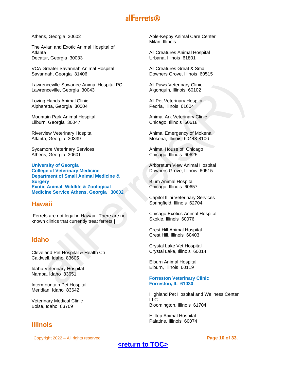Athens, Georgia 30602

The Avian and Exotic Animal Hospital of Atlanta Decatur, Georgia 30033

VCA Greater Savannah Animal Hospital Savannah, Georgia 31406

Lawrenceville-Suwanee Animal Hospital PC Lawrenceville, Georgia 30043

Loving Hands Animal Clinic Alpharetta, Georgia 30004

Mountain Park Animal Hospital Lilburn, Georgia 30047

Riverview Veterinary Hospital Atlanta, Georgia 30339

Sycamore Veterinary Services Athens, Georgia 30601

**University of Georgia College of Veterinary Medicine Department of Small Animal Medicine & Surgery Exotic Animal, Wildlife & Zoological Medicine Service Athens, Georgia 30602**

## <span id="page-9-0"></span>**Hawaii**

[Ferrets are not legal in Hawaii. There are no known clinics that currently treat ferrets.]

## <span id="page-9-1"></span>**Idaho**

Cleveland Pet Hospital & Health Ctr. Caldwell, Idaho 83605

Idaho Veterinary Hospital Nampa, Idaho 83651

Intermountain Pet Hospital Meridian, Idaho 83642

Veterinary Medical Clinic Boise, Idaho 83709

## <span id="page-9-2"></span>**Illinois**

Copyright 2022 – All rights reserved **Page 10 of 33.**

Able-Keppy Animal Care Center Milan, Illinois

All Creatures Animal Hospital Urbana, Illinois 61801

All Creatures Great & Small Downers Grove, Illinois 60515

All Paws Veterinary Clinic Algonquin, Illinois 60102

All Pet Veterinary Hospital Peoria, Illinois 61604

Animal Ark Veterinary Clinic Chicago, Illinois 60618

Animal Emergency of Mokena Mokena, Illinois 60448-8106

Animal House of Chicago Chicago, Illinois 60625

Arboretum View Animal Hospital Downers Grove, Illinois 60515

Blum Animal Hospital Chicago, Illinois 60657

Capitol Illini Veterinary Services Springfield, Illinois 62704

Chicago Exotics Animal Hospital Skokie, Illinois 60076

Crest Hill Animal Hospital Crest Hill, Illinois 60403

Crystal Lake Vet Hospital Crystal Lake, Illinois 60014

Elburn Animal Hospital Elburn, Illinois 60119

#### **Forreston Veterinary Clinic Forreston, IL 61030**

Highland Pet Hospital and Wellness Center LLC Bloomington, Illinois 61704

Hilltop Animal Hospital Palatine, Illinois 60074

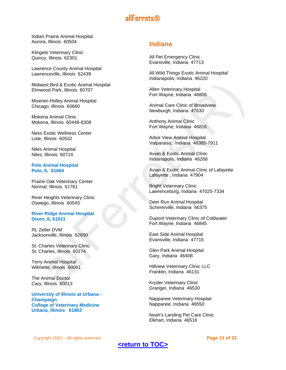Indian Prairie Animal Hospital Aurora, Illinois 60504

Klingele Veterinary Clinic Quincy, Illinois 62301

Lawrence County Animal Hospital Lawrenceville, Illinois 62439

Midwest Bird & Exotic Animal Hospital Elmwood Park, Illinois 60707

Misener-Holley Animal Hospital Chicago, Illinois 60660

Mokena Animal Clinic Mokena, Illinois 60448-8308

Ness Exotic Wellness Center Lisle, Illinois 60532

Niles Animal Hospital Niles, Illinois 60714

#### **Polo Animal Hospital Polo, IL 61064**

Prairie Oak Veterinary Center Normal, Illinois 61761

River Heights Veterinary Clinic Oswego, Illinois 60543

#### **River Ridge Animal Hospital Dixon, IL 61021**

RL Zeller DVM Jacksonville, Illinois 62650

St. Charles Veterinary Clinic St. Charles, Illinois 60174

Terry Animal Hospital Wilmette, Illinois 60061

The Animal Doctor Cary, Illinois 60013

**University of Illinois at Urbana - Champaign College of Veterinary Medicine Urbana, Illinois 61802**

## <span id="page-10-0"></span>**Indiana**

All Pet Emergency Clinic Evansville, Indiana 47713

All Wild Things Exotic Animal Hospital Indianapolis, Indiana 46220

Allen Veterinary Hospital Fort Wayne, Indiana 46806

Animal Care Clinic of Broadview Newburgh, Indiana 47630

Anthony Animal Clinic Fort Wayne, Indiana 46816

Arbor View Animal Hospital Valparaiso, Indiana 46385-7911

Avian & Exotic Animal Clinic Indianapolis, Indiana 46268

Avian & Exotic Animal Clinic of Lafayette Lafayette , Indiana 47904

Bright Veterinary Clinic Lawrenceburg, Indiana 47025-7334

Deer Run Animal Hospital Schererville, Indiana 46375

Dupont Veterinary Clinic of Coldwater Fort Wayne, Indiana 46845

East Side Animal Hospital Evansville, Indiana 47715

Glen Park Animal Hospital Gary, Indiana 46408

Hillview Veterinary Clinic LLC Franklin, Indiana 46131

Kryder Veterinary Clinic Granger, Indiana 46530

Nappanee Veterinary Hospital Nappanee. Indiana 46550

Noah's Landing Pet Care Clinic Elkhart, Indiana 46516

Copyright 2022 – All rights reserved **Page 11 of 33.**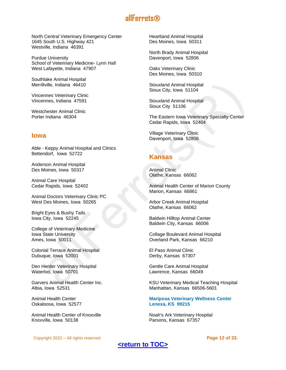North Central Veterinary Emergency Center 1645 South U.S. Highway 421 Westville, Indiana 46391

Purdue University School of Veterinary Medicine- Lynn Hall West Lafayette, Indiana 47907

Southlake Animal Hospital Merrillville, Indiana 46410

Vincennes Veterinary Clinic Vincennes, Indiana 47591

Westchester Animal Clinic Porter Indiana 46304

## <span id="page-11-0"></span>**Iowa**

Able - Keppy Animal Hospital and Clinics Bettendorf, Iowa 52722

Anderson Animal Hospital Des Moines, Iowa 50317

Animal Care Hospital Cedar Rapids, Iowa 52402

Animal Doctors Veterinary Clinic PC West Des Moines, Iowa 50265

Bright Eyes & Bushy Tails Iowa City, Iowa 52245

College of Veterinary Medicine Iowa State University Ames, Iowa 50011

Colonial Terrace Animal Hospital Dubuque, Iowa 52001

Den Herder Veterinary Hospital Waterloo, Iowa 50701

Garvers Animal Health Center Inc. Albia, Iowa 52531

Animal Health Center Oskaloosa, Iowa 52577

Animal Health Center of Knoxville Knoxville, Iowa 50138

Heartland Animal Hospital Des Moines, Iowa 50311

North Brady Animal Hospital Davenport, Iowa 52806

Oaks Veterinary Clinic Des Moines, Iowa 50310

Siouxland Animal Hospital Sioux City, Iowa 51104

Siouxland Animal Hospital Sioux City 51106

The Eastern Iowa Veterinary Specialty Center Cedar Rapids, Iowa 52404

Village Veterinary Clinic Davenport, Iowa 52806

## <span id="page-11-1"></span>**Kansas**

Animal Clinic Olathe, Kansas 66062

Animal Health Center of Marion County Marion, Kansas 66861

Arbor Creek Animal Hospital Olathe, Kansas 66062

Baldwin Hilltop Animal Center Baldwin City, Kansas 66006

Collage Boulevard Animal Hospital Overland Park, Kansas 66210

El Paso Animal Clinic Derby, Kansas 67307

Gentle Care Animal Hospital Lawrence, Kansas 66049

KSU Veterinary Medical Teaching Hospital Manhattan, Kansas 66506-5601

#### **Mariposa Veterinary Wellness Center Lenexa, KS 99215**

Noah's Ark Veterinary Hospital Parsons, Kansas 67357

Copyright 2022 – All rights reserved **Page 12 of 33.**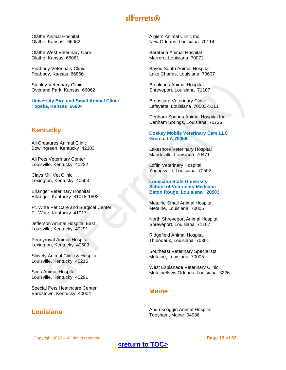Olathe Animal Hospital Olathe, Kansas 66062

Olathe West Veterinary Care Olathe, Kansas 66061

Peabody Veterinary Clinic Peabody, Kansas 66866

Stanley Veterinary Clinic Overland Park, Kansas 66062

**University Bird and Small Animal Clinic Topeka, Kansas 66604**

## <span id="page-12-0"></span>**Kentucky**

All Creatures Animal Clinic Bowlingreen, Kentucky 42103

All Pets Veterinary Center Louisville, Kentucky 40222

Clays Mill Vet Clinic Lexington, Kentucky 40503

Erlanger Veterinary Hospital Erlanger, Kentucky 81018-1802

Ft. Write Pet Care and Surgical Center Ft. Write, Kentucky 41017

Jefferson Animal Hospital East Louisville, Kentucky 40291

Pennyroyal Animal Hospital Lexington, Kentucky 40503

Shively Animal Clinic & Hospital Louisville, Kentucky 40216

Sims Animal Hospital Louisville, Kentucky 40291

Special Pets Healthcare Center Bardstown, Kentucky 40004

## <span id="page-12-1"></span>**Louisiana**

Algiers Animal Clinic Inc. New Orleans, Louisiana 70114

Barataria Animal Hospital Marrero, Louisiana 70072

Bayou South Animal Hospital Lake Charles, Louisiana 70607

Brookings Animal Hospital Shreveport, Louisiana 71107

Broussard Veterinary Clinic Lafayette, Louisiana 70503-5111

Denham Springs Animal Hospital Inc. Denham Springs, Louisiana 70726

#### **Doskey Mobile Veterinary Care LLC Gretna, LA 70056**

Lakeshore Veterinary Hospital Mandeville, Louisiana 70471

Loftin Veterinary Hospital Youngsville, Louisiana 70592

**Louisiana State University School of Veterinary Medicine Baton Rouge, Louisiana 20903**

Metairie Small Animal Hospital Metairie, Louisiana 70005

North Shreveport Animal Hospital Shreveport, Louisiana 71107

Ridgefield Animal Hospital Thibodaux, Louisiana 70301

Southeast Veterinary Specialists Metairie, Louisiana 70005

West Esplanade Veterinary Clinic Metairie/New Orleans Louisiana 3226

## <span id="page-12-2"></span>**Maine**

Androscoggin Animal Hospital Topsham, Maine 04086

Copyright 2022 – All rights reserved **Page 13 of 33.**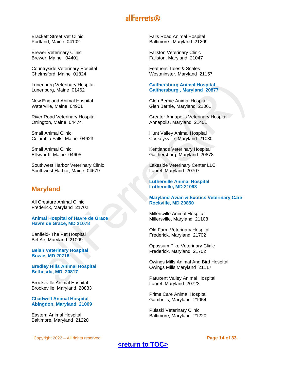Brackett Street Vet Clinic Portland, Maine 04102

Brewer Veterinary Clinic Brewer, Maine 04401

Countryside Veterinary Hospital Chelmsford, Maine 01824

Lunenburg Veterinary Hospital Lunenburg, Maine 01462

New England Animal Hospital Waterville, Maine 04901

River Road Veterinary Hospital Orrington, Maine 04474

Small Animal Clinic Columbia Falls, Maine 04623

Small Animal Clinic Ellsworth, Maine 04605

Southwest Harbor Veterinary Clinic Southwest Harbor, Maine 04679

## <span id="page-13-0"></span>**Maryland**

All Creature Animal Clinic Frederick, Maryland 21702

**Animal Hospital of Havre de Grace Havre de Grace, MD 21078**

Banfield- The Pet Hospital Bel Air, Maryland 21009

**Belair Veterinary Hospital Bowie, MD 20716**

**Bradley Hills Animal Hospital Bethesda, MD 20817**

Brookeville Animal Hospital Brookeville, Maryland 20833

**Chadwell Animal Hospital Abingdon, Maryland 21009**

Eastern Animal Hospital Baltimore, Maryland 21220

Copyright 2022 – All rights reserved **Page 14 of 33.**

Falls Road Animal Hospital Baltimore , Maryland 21209

Fallston Veterinary Clinic Fallston, Maryland 21047

Feathers Tales & Scales Westminster, Maryland 21157

#### **Gaithersburg Animal Hospital Gaithersburg , Maryland 20877**

Glen Bernie Animal Hospital Glen Bernie, Maryland 21061

Greater Annapolis Veterinary Hospital Annapolis, Maryland 21401

Hunt Valley Animal Hospital Cockeysville, Maryland 21030

Kentlands Veterinary Hospital Gaithersburg, Maryland 20878

Lakeside Veterinary Center LLC Laurel, Maryland 20707

**Lutherville Animal Hospital Lutherville, MD 21093**

#### **Maryland Avian & Exotics Veterinary Care Rockville, MD 20850**

Millersville Animal Hospital Millersville, Maryland 21108

Old Farm Veterinary Hospital Frederick, Maryland 21702

Opossum Pike Veterinary Clinic Frederick, Maryland 21702

Owings Mills Animal And Bird Hospital Owings Mills Maryland 21117

Patuxent Valley Animal Hospital Laurel, Maryland 20723

Prime Care Animal Hospital Gambrills, Maryland 21054

Pulaski Veterinary Clinic Baltimore, Maryland 21220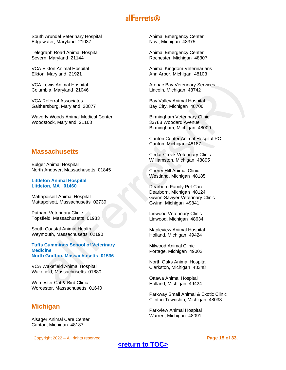South Arundel Veterinary Hospital Edgewater, Maryland 21037

Telegraph Road Animal Hospital Severn, Maryland 21144

VCA Elkton Animal Hospital Elkton, Maryland 21921

VCA Lewis Animal Hospital Columbia, Maryland 21046

VCA Referral Associates Gaithersburg, Maryland 20877

Waverly Woods Animal Medical Center Woodstock, Maryland 21163

## <span id="page-14-0"></span>**Massachusetts**

Bulger Animal Hospital North Andover, Massachusetts 01845

**Littleton Animal Hospital Littleton, MA 01460**

Mattapoisett Animal Hospital Mattapoisett, Massachusetts 02739

Putnam Veterinary Clinic Topsfield, Massachusetts 01983

South Coastal Animal Health Weymouth, Massachusetts 02190

**Tufts Cummings School of Veterinary Medicine North Grafton, Massachusetts 01536**

VCA Wakefield Animal Hospital Wakefield, Massachusetts 01880

Worcester Cat & Bird Clinic Worcester, Massachusetts 01640

## <span id="page-14-1"></span>**Michigan**

Alsager Animal Care Center Canton, Michigan 48187

Copyright 2022 – All rights reserved **Page 15 of 33.**

Animal Emergency Center Novi, Michigan 48375

Animal Emergency Center Rochester, Michigan 48307

Animal Kingdom Veterinarians Ann Arbor, Michigan 48103

Arenac Bay Veterinary Services Lincoln, Michigan 48742

Bay Valley Animal Hospital Bay City, Michigan 48706

Birmingham Veterinary Clinic 33788 Woodard Avenue Birmingham, Michigan 48009

Canton Center Animal Hospital PC Canton, Michigan 48187

Cedar Creek Veterinary Clinic Williamston, Michigan 48895

Cherry Hill Animal Clinic Westland, Michigan 48185

Dearborn Family Pet Care Dearborn, Michigan 48124 Gwinn-Sawyer Veterinary Clinic Gwinn, Michigan 49841

Linwood Veterinary Clinic Linwood, Michigan 48634

Mapleview Animal Hospital Holland, Michigan 49424

Milwood Animal Clinic Portage, Michigan 49002

North Oaks Animal Hospital Clarkston, Michigan 48348

Ottawa Animal Hospital Holland, Michigan 49424

Parkway Small Animal & Exotic Clinic Clinton Township, Michigan 48038

Parkview Animal Hospital Warren, Michigan 48091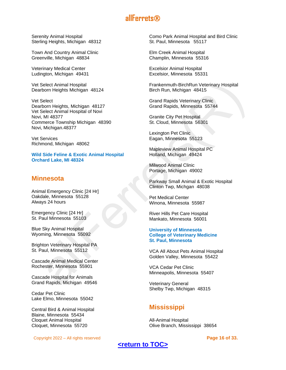Serenity Animal Hospital Sterling Heights, Michigan 48312

Town And Country Animal Clinic Greenville, Michigan 48834

Veterinary Medical Center Ludington, Michigan 49431

Vet Select Animal Hospital Dearborn Heights Michigan 48124

Vet Select Dearborn Heights, Michigan 48127 Vet Select Animal Hospital of Novi Novi, MI 48377 Commerce Township Michigan 48390 Novi, Michigan.48377

Vet Services Richmond, Michigan 48062

**Wild Side Feline & Exotic Animal Hospital Orchard Lake, MI 48324**

## <span id="page-15-0"></span>**Minnesota**

Animal Emergency Clinic [24 Hr] Oakdale, Minnesota 55128 Always 24 hours

Emergency Clinic [24 Hr] St. Paul Minnesota 55103

Blue Sky Animal Hospital Wyoming, Minnesota 55092

Brighton Veterinary Hospital PA St. Paul, Minnesota 55112

Cascade Animal Medical Center Rochester, Minnesota 55901

Cascade Hospital for Animals Grand Rapids, Michigan 49546

Cedar Pet Clinic Lake Elmo, Minnesota 55042

Central Bird & Animal Hospital Blaine, Minnesota 55434 Cloquet Animal Hospital Cloquet, Minnesota 55720

Copyright 2022 – All rights reserved **Page 16 of 33.**

Como Park Animal Hospital and Bird Clinic St. Paul, Minnesota 55117

Elm Creek Animal Hospital Champlin, Minnesota 55316

Excelsior Animal Hospital Excelsior, Minnesota 55331

Frankenmuth-BirchRun Veterinary Hospital Birch Run, Michigan 48415

Grand Rapids Veterinary Clinic Grand Rapids, Minnesota 55744

Granite City Pet Hospital St. Cloud, Minnesota 56301

Lexington Pet Clinic Eagan, Minnesota 55123

Mapleview Animal Hospital PC Holland, Michigan 49424

Milwood Animal Clinic Portage, Michigan 49002

Parkway Small Animal & Exotic Hospital Clinton Twp, Michgan 48038

Pet Medical Center Winona, Minnesota 55987

River Hills Pet Care Hospital Mankato, Minnesota 56001

#### **University of Minnesota College of Veterinary Medicine St. Paul, Minnesota**

VCA All About Pets Animal Hospital Golden Valley, Minnesota 55422

VCA Cedar Pet Clinic Minneapolis, Minnesota 55407

Veterinary General Shelby Twp, Michigan 48315

## <span id="page-15-1"></span>**Mississippi**

All-Animal Hospital Olive Branch, Mississippi 38654

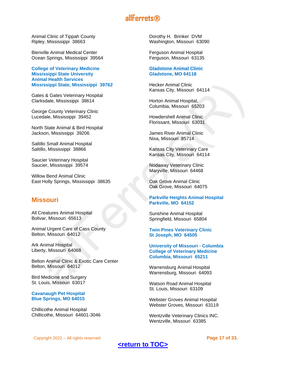Animal Clinic of Tippah County Ripley, Mississippi 38663

Bienville Animal Medical Center Ocean Springs, Mississippi 39564

**College of Veterinary Medicine Mississippi State University Animal Health Services Mississippi State, Mississippi 39762**

Gates & Gates Veterinary Hospital Clarksdale, Mississippi 38614

George County Veterinary Clinic Lucedale, Mississippi 39452

North State Animal & Bird Hospital Jackson, Mississippi 39206

Saltillo Small Animal Hospital Saltillo, Mississippi 38866

Saucier Veterinary Hospital Saucier, Mississippi 39574

Willow Bend Animal Clinic East Holly Springs, Mississippi 38635

## <span id="page-16-0"></span>**Missouri**

All Creatures Animal Hospital Bolivar, Missouri 65613

Animal Urgent Care of Cass County Belton, Missouri 64012

Ark Animal Hospital Liberty, Missouri 64068

Belton Animal Clinic & Exotic Care Center Belton, Missouri 64012

Bird Medicine and Surgery St. Louis, Missouri 63017

#### **Cavanaugh Pet Hospital Blue Springs, MO 64015**

Chillicothe Animal Hospital Chillicothe, Missouri 64601-3046

Dorothy H. Brinker DVM Washington, Missouri 63090

Ferguson Animal Hospital Ferguson, Missouri 63135

#### **Gladstone Animal Clinic Gladstone, MO 64118**

Hecker Animal Clinic Kansas City, Missouri 64114

Horton Animal Hospital, Columbia, Missouri 65203

Howdershell Animal Clinic Florissant, Missouri 63031

James River Animal Clinic Nixa, Missouri 85714

Kansas City Veterinary Care Kansas City, Missouri 64114

Nodaway Veterinary Clinic Maryville, Missouri 64468

Oak Grove Animal Clinic Oak Grove, Missouri 64075

#### **Parkville Heights Animal Hospital Parkville, MO 64152**

Sunshine Animal Hospital Springfield, Missouri 65804

**Twin Pines Veterinary Clinic St Joseph, MO 64505**

**University of Missouri - Columbia College of Veterinary Medicine Columbia, Missouri 65211**

Warrensburg Animal Hospital Warrensburg, Missouri 64093

Watson Road Animal Hospital St. Louis, Missouri 63109

Webster Groves Animal Hospital Webster Groves, Missouri 63119

Wentzville Veterinary Clinics INC. Wentzville, Missouri 63385

Copyright 2022 – All rights reserved **Page 17 of 33.**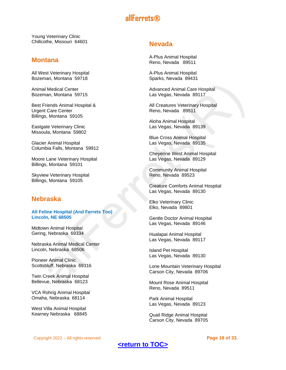Young Veterinary Clinic Chillcothe, Missouri 64601

## <span id="page-17-0"></span>**Montana**

All West Veterinary Hospital Bozeman, Montana 59718

Animal Medical Center Bozeman, Montana 59715

Best Friends Animal Hospital & Urgent Care Center Billings, Montana 59105

Eastgate Veterinary Clinic Missoula, Montana 59802

Glacier Animal Hospital Columbia Falls, Montana 59912

Moore Lane Veterinary Hospital Billings, Montana 59101

Skyview Veterinary Hospital Billings, Montana 59105

## <span id="page-17-1"></span>**Nebraska**

#### **All Feline Hospital (And Ferrets Too) Lincoln, NE 68505**

Midtown Animal Hospital Gering, Nebraska 69334

Nebraska Animal Medical Center Lincoln, Nebraska 68506

Pioneer Animal Clinic Scottsbluff, Nebraska 69316

Twin Creek Animal Hospital Bellevue, Nebraska 68123

VCA Rohrig Animal Hospital Omaha, Nebraska 68114

West Villa Animal Hospital Kearney Nebraska 68845

## <span id="page-17-2"></span>**Nevada**

A-Plus Animal Hospital Reno, Nevada 89511

A-Plus Animal Hospital Sparks, Nevada 89431

Advanced Animal Care Hospital Las Vegas, Nevada 89117

All Creatures Veterinary Hospital Reno, Nevada 89511

Aloha Animal Hospital Las Vegas, Nevada 89139

Blue Cross Animal Hospital Las Vegas, Nevada 89135

Cheyenne West Animal Hospital Las Vegas, Nevada 89129

Community Animal Hospital Reno, Nevada 89523

Creature Comforts Animal Hospital Las Vegas, Nevada 89130

Elko Veterinary Clinic Elko, Nevada 89801

Gentle Doctor Animal Hospital Las Vegas, Nevada 89146

Hualapai Animal Hospital Las Vegas, Nevada 89117

Island Pet Hospital Las Vegas, Nevada 89130

Lone Mountain Veterinary Hospital Carson City, Nevada 89706

Mount Rose Animal Hospital Reno, Nevada 89511

Park Animal Hospital Las Vegas, Nevada 89123

Quail Ridge Animal Hospital Carson City, Nevada 89705

Copyright 2022 – All rights reserved **Page 18 of 33.**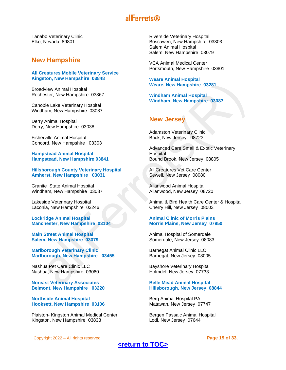Tanabo Veterinary Clinic Elko, Nevada 89801

## <span id="page-18-0"></span>**New Hampshire**

#### **All Creatures Mobile Veterinary Service Kingston, New Hampshire 03848**

Broadview Animal Hospital Rochester, New Hampshire 03867

Canobie Lake Veterinary Hospital Windham, New Hampshire 03087

Derry Animal Hospital Derry, New Hampshire 03038

Fisherville Animal Hospital Concord, New Hampshire 03303

**Hampstead Animal Hospital Hampstead, New Hampshire 03841**

**Hillsborough County Veterinary Hospital Amherst, New Hampshire 03031**

Granite State Animal Hospital Windham, New Hampshire 03087

Lakeside Veterinary Hospital Laconia, New Hampshire 03246

**Lockridge Animal Hospital Manchester, New Hampshire 03104**

**Main Street Animal Hospital Salem, New Hampshire 03079**

**Marlborough Veterinary Clinic Marlborough, New Hampshire 03455**

Nashua Pet Care Clinic LLC Nashua, New Hampshire 03060

**Noreast Veterinary Associates Belmont, New Hampshire 03220**

**Northside Animal Hospital Hooksett, New Hampshire 03106**

Plaiston- Kingston Animal Medical Center Kingston, New Hampshire 03838

Riverside Veterinary Hospital Boscawen, New Hampshire 03303 Salem Animal Hospital Salem, New Hampshire 03079

VCA Animal Medical Center Portsmouth, New Hampshire 03801

**Weare Animal Hospital Weare, New Hampshire 03281**

**Windham Animal Hospital Windham, New Hampshire 03087**

## <span id="page-18-1"></span>**New Jersey**

Adamston Veterinary Clinic Brick, New Jersey 08723

Advanced Care Small & Exotic Veterinary **Hospital** Bound Brook, New Jersey 08805

All Creatures Vet Care Center Sewell, New Jersey 08080

Allanwood Animal Hospital Allanwood, New Jersey 08720

Animal & Bird Health Care Center & Hospital Cherry Hill, New Jersey 08003

#### **Animal Clinic of Morris Plains Morris Plains, New Jersey 07950**

Animal Hospital of Somerdale Somerdale, New Jersey 08083

Barnegat Animal Clinic LLC Barnegat, New Jersey 08005

Bayshore Veterinary Hospital Holmdel, New Jersey 07733

#### **Belle Mead Animal Hospital Hillsborough, New Jersey 08844**

Berg Animal Hospital PA Matawan, New Jersey 07747

Bergen Passaic Animal Hospital Lodi, New Jersey 07644

Copyright 2022 – All rights reserved **Page 19 of 33.**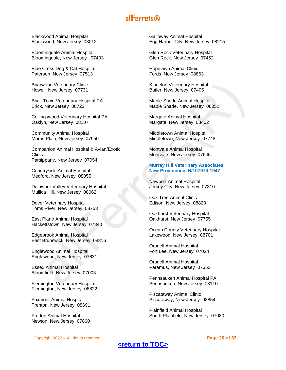Blackwood Animal Hospital Blackwood, New Jersey 08012

Bloomingdale Animal Hospital Bloomingdale, New Jersey 07403

Blue Cross Dog & Cat Hospital Paterson, New Jersey 07513

Briarwood Veterinary Clinic Howell, New Jersey 07731

Brick Town Veterinary Hospital PA Brick, New Jersey 08723

Collingswood Veterinary Hospital PA Oaklyn, New Jersey 08107

Community Animal Hospital Morris Plain, New Jersey 07950

Companion Animal Hospital & Avian/Exotic Clinic Parsippany, New Jersey 07054

Countryside Animal Hospital Medford, New Jersey 08055

Delaware Valley Veterinary Hospital Mullica Hill, New Jersey 08062

Dover Veterinary Hospital Toms River, New Jersey 08753

East Plane Animal Hospital Hackettstown, New Jersey 07840

Edgebrook Animal Hospital East Brunswick, New Jersey 08816

Englewood Animal Hospital Englewood, New Jersey 07631

Essex Animal Hospital Bloomfield, New Jersey 07003

Flemington Veterinary Hospital Flemington, New Jersey 08822

Foxmoor Animal Hospital Trenton, New Jersey 08691

Fredon Animal Hospital Newton, New Jersey 07860

Copyright 2022 – All rights reserved **Page 20 of 33.**

Galloway Animal Hospital Egg Harbor City, New Jersey 08215

Glen Rock Veterinary Hospital Glen Rock, New Jersey 07452

Hopelawn Animal Clinic Fords, New Jersey 08863

Kinnelon Veterinary Hospital Butler, New Jersey 07405

Maple Shade Animal Hospital Maple Shade, New Jersey 08052

Margate Animal Hospital Margate, New Jersey 08402

Middletown Animal Hospital Middletown, New Jersey 07748

Montvale Animal Hospital Montvale, New Jersey 07645

#### **Murray Hill Veterinary Associates New Providence, NJ 07974-1947**

Newport Animal Hospital Jersey City, New Jersey 07310

Oak Tree Animal Clinic Edison, New Jersey 08820

Oakhurst Veterinary Hospital Oakhurst, New Jersey 07755

Ocean County Veterinary Hospital Lakewood, New Jersey 08701

Oradell Animal Hospital Fort Lee, New Jersey 07024

Oradell Animal Hospital Paramus, New Jersey 07652

Pennsauken Animal Hospital PA Pennsauken, New Jersey 08110

Piscataway Animal Clinic Piscataway, New Jersey 08854

Plainfield Animal Hospital South Plainfield, New Jersey 07080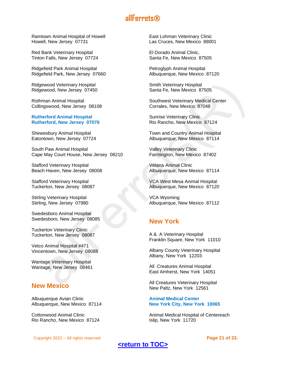Ramtown Animal Hospital of Howell Howell, New Jersey 07731

Red Bank Veterinary Hospital Tinton Falls, New Jersey 07724

Ridgefield Park Animal Hospital Ridgefield Park, New Jersey 07660

Ridgewood Veterinary Hospital Ridgewood, New Jersey 07450

Rothman Animal Hospital Collingswood, New Jersey 08108

#### **Rutherford Animal Hospital Rutherford, New Jersey 07070**

Shewesbury Animal Hospital Eatontown, New Jersey 07724

South Paw Animal Hospital Cape May Court House, New Jersey 08210

Stafford Veterinary Hospital Beach Haven, New Jersey 08008

Stafford Veterinary Hospital Tuckerton, New Jersey 08087

Stirling Veterinary Hospital Stirling, New Jersey 07980

Swedesboro Animal Hospital Swedesboro, New Jersey 08085

Tuckerton Veterinary Clinic Tuckerton, New Jersey 08087

Vetco Animal Hospital #471 Vincentown, New Jersey 08088

Wantage Veterinary Hospital Wantage, New Jersey 08461

## <span id="page-20-0"></span>**New Mexico**

Albuquerque Avian Clinic Albuquerque, New Mexico 87114

Cottonwood Animal Clinic Rio Rancho, New Mexico 87124

Copyright 2022 – All rights reserved **Page 21 of 33.**

East Lohman Veterinary Clinic Las Cruces, New Mexico 88001

El Dorado Animal Clinic, Santa Fe, New Mexico 87505

Petroglyph Animal Hospital Albuquerque, New Mexico 87120

Smith Veterinary Hospital Santa Fe, New Mexico 87505

Southwest Veterinary Medical Center Corrales, New Mexico 87048

Sunrise Veterinary Clinic Rio Rancho, New Mexico 87124

Town and Country Animal Hospital Albuquerque, New Mexico 87114

Valley Veterinary Clinic Farmington, New Mexico 87402

Vetana Animal Clinic Albuquerque, New Mexico 87114

VCA West Mesa Animal Hospital Albuquerque, New Mexico 87120

VCA Wyoming Albuquerque, New Mexico 87112

## <span id="page-20-1"></span>**New York**

A & A Veterinary Hospital Franklin Square, New York 11010

Albany County Veterinary Hospital Albany, New York 12203

All Creatures Animal Hospital East Amherst, New York 14051

All Creatures Veterinary Hospital New Paltz, New York 12561

**Animal Medical Center New York City, New York 10065**

Animal Medical Hospital of Centereach Islip, New York 11720

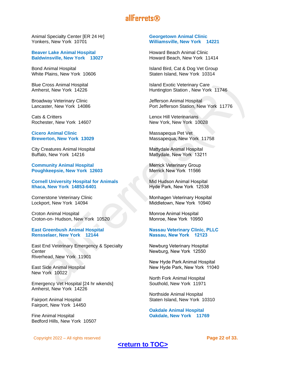Animal Specialty Center [ER 24 Hr] Yonkers, New York 10701

#### **Beaver Lake Animal Hospital Baldwinsville, New York 13027**

Bond Animal Hospital White Plains, New York 10606

Blue Cross Animal Hospital Amherst, New York 14226

Broadway Veterinary Clinic Lancaster, New York 14086

Cats & Critters Rochester, New York 14607

**Cicero Animal Clinic Brewerton, New York 13029**

City Creatures Animal Hospital Buffalo, New York 14216

**Community Animal Hospital Poughkeepsie, New York 12603**

**Cornell University Hospital for Animals Ithaca, New York 14853-6401**

Cornerstone Veterinary Clinic Lockport, New York 14094

Croton Animal Hospital Croton-on- Hudson, New York 10520

**East Greenbush Animal Hospital Rensselaer, New York 12144**

East End Veterinary Emergency & Specialty **Center** Riverhead, New York 11901

East Side Animal Hospital New York 10022

Emergency Vet Hospital [24 hr wkends] Amherst, New York 14226

Fairport Animal Hospital Fairport, New York 14450

Fine Animal Hospital Bedford Hills, New York 10507

#### Copyright 2022 – All rights reserved **Page 22 of 33.**

#### **Georgetown Animal Clinic Williamsville, New York 14221**

Howard Beach Animal Clinic Howard Beach, New York 11414

Island Bird, Cat & Dog Vet Group Staten Island, New York 10314

Island Exotic Veterinary Care Huntington Station , New York 11746

Jefferson Animal Hospital Port Jefferson Station, New York 11776

Lenox Hill Veterinarians New York, New York 10028

Massapequa Pet Vet Massapequa, New York 11758

Mattydale Animal Hospital Mattydale, New York 13211

Merrick Veterinary Group Merrick New York 11566

Mid Hudson Animal Hospital Hyde Park, New York 12538

Monhagen Veterinary Hospital Middletown, New York 10940

Monroe Animal Hospital Monroe, New York 10950

#### **Nassau Veterinary Clinic, PLLC Nassau, New York 12123**

Newburg Veterinary Hospital Newburg, New York 12550

New Hyde Park Animal Hospital New Hyde Park, New York 11040

North Fork Animal Hospital Southold, New York 11971

Northside Animal Hospital Staten Island, New York 10310

**Oakdale Animal Hospital Oakdale, New York 11769**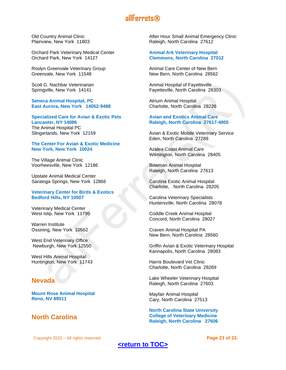Old Country Animal Clinic Plainview, New York 11803

Orchard Park Veterinary Medical Center Orchard Park, New York 14127

Roslyn Greenvale Veterinary Group Greenvale, New York 11548

Scott G. Nachbar Veterinarian Springville, New York 14141

**Seneca Animal Hospital, PC East Aurora, New York 14052-9488**

**Specialized Care for Avian & Exotic Pets Lancaster, NY 14086** The Animal Hospital PC Slingerlands, New York 12159

#### **The Center For Avian & Exotic Medicine New York, New York 10024**

The Village Animal Clinic Voorheesville, New York 12186

Upstate Animal Medical Center Saratoga Springs, New York 12866

#### **Veterinary Center for Birds & Exotics Bedford Hills, NY 10507**

Veterinary Medical Center West Islip, New York 11795

Warren Institute Ossining, New York 10562

West End Veterinary Office Newburgh, New York 12550

West Hills Animal Hospital Huntington, New York 11743

## <span id="page-22-0"></span>**Nevada**

**Mount Rose Animal Hospital Reno, NV 89511**

## <span id="page-22-1"></span>**North Carolina**

After Hour Small Animal Emergency Clinic Raleigh, North Carolina 27612

#### **Animal Ark Veterinary Hospital Clemmons, North Carolina 27012**

Animal Care Center of New Bern New Bern, North Carolina 28562

Animal Hospital of Fayetteville Fayetteville, North Carolina 28303

Atrium Animal Hospital Charlotte, North Carolina 28226

#### **Avian and Exotics Animal Care Raleigh, North Carolina 27617-4805**

Avian & Exotic Mobile Veterinary Service Eden, North Carolina 27288

Azalea Coast Animal Care Wilmington, North Carolina 28405

Bowman Animal Hospital Raleigh, North Carolina 27613

Carolina Exotic Animal Hospital Charlotte, North Carolina 28205

Carolina Veterinary Specialists Huntersville, North Carolina 28078

Coddle Creek Animal Hospital Concord, North Carolina 28027

Craven Animal Hospital PA New Bern, North Carolina 28560

Griffin Avian & Exotic Veterinary Hospital Kannapolis, North Carolina 28083

Harris Boulevard Vet Clinic Charlotte, North Carolina 28269

Lake Wheeler Veterinary Hospital Raleigh, North Carolina 27603

Mayfair Animal Hospital Cary, North Carolina 27513

**North Carolina State University College of Veterinary Medicine Raleigh, North Carolina 27606**

Copyright 2022 – All rights reserved **Page 23 of 33.**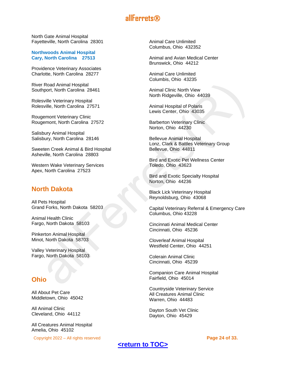North Gate Animal Hospital Fayetteville, North Carolina 28301

**Northwoods Animal Hospital Cary, North Carolina 27513**

Providence Veterinary Associates Charlotte, North Carolina 28277

River Road Animal Hospital Southport, North Carolina 28461

Rolesville Veterinary Hospital Rolesville, North Carolina 27571

Rougemont Veterinary Clinic Rougemont, North Carolina 27572

Salisbury Animal Hospital Salisbury, North Carolina 28146

Sweeten Creek Animal & Bird Hospital Asheville, North Carolina 28803

Western Wake Veterinary Services Apex, North Carolina 27523

## <span id="page-23-0"></span>**North Dakota**

All Pets Hospital Grand Forks, North Dakota 58203

Animal Health Clinic Fargo, North Dakota 58103

Pinkerton Animal Hospital Minot, North Dakota 58703

Valley Veterinary Hospital Fargo, North Dakota 58103

## <span id="page-23-1"></span>**Ohio**

All About Pet Care Middletown, Ohio 45042

All Animal Clinic Cleveland, Ohio 44112

All Creatures Animal Hospital Amelia, Ohio 45102

Copyright 2022 – All rights reserved **Page 24 of 33.**

Animal Care Unlimited Columbus, Ohio 432352

Animal and Avian Medical Center Brunswick, Ohio 44212

Animal Care Unlimited Columbis, Ohio 43235

Animal Clinic North View North Ridgeville, Ohio 44039

Animal Hospital of Polaris Lewis Center, Ohio 43035

Barberton Veterinary Clinic Norton, Ohio 44230

Bellevue Animal Hospital Lonz, Clark & Battles Veterinary Group Bellevue, Ohio 44811

Bird and Exotic Pet Wellness Center Toledo, Ohio 43623

Bird and Exotic Specialty Hospital Norton, Ohio 44236

Black Lick Veterinary Hospital Reynoldsburg, Ohio 43068

Capital Veterinary Referral & Emergency Care Columbus, Ohio 43228

Cincinnati Animal Medical Center Cincinnati, Ohio 45236

Cloverleaf Animal Hospital Westfield Center, Ohio 44251

Colerain Animal Clinic Cincinnati, Ohio 45239

Companion Care Animal Hospital Fairfield, Ohio 45014

Countryside Veterinary Service All Creatures Animal Clinic Warren, Ohio 44483

Dayton South Vet Clinic Dayton, Ohio 45429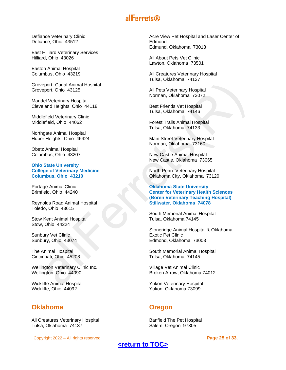Defiance Veterinary Clinic Defiance, Ohio 43512

East Hilliard Veterinary Services Hilliard, Ohio 43026

Easton Animal Hospital Columbus, Ohio 43219

Groveport -Canal Animal Hospital Groveport, Ohio 43125

Mandel Veterinary Hospital Cleveland Heights, Ohio 44118

Middlefield Veterinary Clinic Middlefield, Ohio 44062

Northgate Animal Hospital Huber Heights, Ohio 45424

Obetz Animal Hospital Columbus, Ohio 43207

**Ohio State University College of Veterinary Medicine Columbus, Ohio 43210**

Portage Animal Clinic Brimfield, Ohio 44240

Reynolds Road Animal Hospital Toledo, Ohio 43615

Stow Kent Animal Hospital Stow, Ohio 44224

Sunbury Vet Clinic Sunbury, Ohio 43074

The Animal Hospital Cincinnati, Ohio 45208

Wellington Veterinary Clinic Inc. Wellington, Ohio 44090

Wickliffe Animal Hospital Wickliffe, Ohio 44092

## <span id="page-24-0"></span>**Oklahoma**

All Creatures Veterinary Hospital Tulsa, Oklahoma 74137

Copyright 2022 – All rights reserved **Page 25 of 33.**

Acre View Pet Hospital and Laser Center of Edmond Edmund, Oklahoma 73013

All About Pets Vet Clinic Lawton, Oklahoma 73501

All Creatures Veterinary Hospital Tulsa, Oklahoma 74137

All Pets Veterinary Hospital Norman, Oklahoma 73072

Best Friends Vet Hospital Tulsa, Oklahoma 74146

Forest Trails Animal Hospital Tulsa, Oklahoma 74133

Main Street Veterinary Hospital Norman, Oklahoma 73160

New Castle Animal Hospital New Castle, Oklahoma 73065

North Penn. Veterinary Hospital Oklahoma City, Oklahoma 73120

**Oklahoma State University Center for Veterinary Health Sciences (Boren Veterinary Teaching Hospital) Stillwater, Oklahoma 74078**

South Memorial Animal Hospital Tulsa, Oklahoma 74145

Stoneridge Animal Hospital & Oklahoma Exotic Pet Clinic Edmond, Oklahoma 73003

South Memorial Animal Hospital Tulsa, Oklahoma 74145

Village Vet Animal Clinic Broken Arrow, Oklahoma 74012

Yukon Veterinary Hospital Yukon, Oklahoma 73099

## <span id="page-24-1"></span>**Oregon**

Banfield The Pet Hospital Salem, Oregon 97305

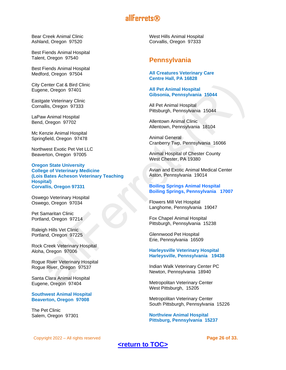Bear Creek Animal Clinic Ashland, Oregon 97520

Best Fiends Animal Hospital Talent, Oregon 97540

Best Fiends Animal Hospital Medford, Oregon 97504

City Center Cat & Bird Clinic Eugene, Oregon 97401

Eastgate Veterinary Clinic Cornallis, Oregon 97333

LaPaw Animal Hospital Bend, Oregon 97702

Mc Kenzie Animal Hospital Springfield, Oregon 97478

Northwest Exotic Pet Vet LLC Beaverton, Oregon 97005

**Oregon State University College of Veterinary Medicine (Lois Bates Acheson Veterinary Teaching Hospital) Corvallis, Oregon 97331**

Oswego Veterinary Hospital Oswego, Oregon 97034

Pet Samaritan Clinic Portland, Oregon 97214

Raleigh Hills Vet Clinic Portland, Oregon 97225

Rock Creek Veterinary Hospital Aloha, Oregon 97006

Rogue River Veterinary Hospital Rogue River, Oregon 97537

Santa Clara Animal Hospital Eugene, Oregon 97404

**Southwest Animal Hospital Beaverton, Oregon 97008**

The Pet Clinic Salem, Oregon 97301 West Hills Animal Hospital Corvallis, Oregon 97333

## <span id="page-25-0"></span>**Pennsylvania**

#### **All Creatures Veterinary Care Centre Hall, PA 16828**

#### **All Pet Animal Hospital Gibsonia, Pennsylvania 15044**

All Pet Animal Hospital Pittsburgh, Pennsylvania 15044

Allentown Animal Clinic Allentown, Pennsylvania 18104

Animal General Cranberry Twp, Pennsylvania 16066

Animal Hospital of Chester County West Chester, PA 19380

Avian and Exotic Animal Medical Center Aston, Pennsylvania 19014

#### **Boiling Springs Animal Hospital Boiling Springs, Pennsylvania 17007**

Flowers Mill Vet Hospital Langhome, Pennsylvania 19047

Fox Chapel Animal Hospital Pittsburgh, Pennsylvania 15238

Glennwood Pet Hospital Erie, Pennsylvania 16509

**Harleysville Veterinary Hospital Harleysville, Pennsylvania 19438**

Indian Walk Veterinary Center PC Newton, Pennsylvania 18940

Metropolitan Veterinary Center West Pittsburgh, 15205

Metropolitan Veterinary Center South Pittsburgh, Pennsylvania 15226

**Northview Animal Hospital Pittsburg, Pennsylvania 15237**

Copyright 2022 – All rights reserved **Page 26 of 33.**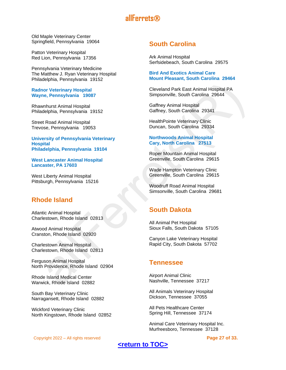Old Maple Veterinary Center Springfield, Pennsylvania 19064

Patton Veterinary Hospital Red Lion, Pennsylvania 17356

Pennsylvania Veterinary Medicine The Matthew J. Ryan Veterinary Hospital Philadelphia, Pennsylvania 19152

#### **Radnor Veterinary Hospital Wayne, Pennsylvania 19087**

Rhawnhurst Animal Hospital Philadelphia, Pennsylvania 19152

Street Road Animal Hospital Trevose, Pennsylvania 19053

**University of Pennsylvania Veterinary Hospital Philadelphia, Pennsylvania 19104**

**West Lancaster Animal Hospital Lancaster, PA 17603**

West Liberty Animal Hospital Pittsburgh, Pennsylvania 15216

## <span id="page-26-0"></span>**Rhode Island**

Atlantic Animal Hospital Charlestown, Rhode Island 02813

Atwood Animal Hospital Cranston, Rhode Island 02920

Charlestown Animal Hospital Charlestown, Rhode Island 02813

Ferguson Animal Hospital North Providence, Rhode Island 02904

Rhode Island Medical Center Warwick, Rhode Island 02882

South Bay Veterinary Clinic Narragansett, Rhode Island 02882

Wickford Veterinary Clinic North Kingstown, Rhode Island 02852

## <span id="page-26-1"></span>**South Carolina**

Ark Animal Hospital Serfsidebeach, South Carolina 29575

#### **Bird And Exotics Animal Care Mount Pleasant, South Carolina 29464**

Cleveland Park East Animal Hospital PA Simpsonville, South Carolina 29644

Gaffney Animal Hospital Gaffney, South Carolina 29341

HealthPointe Veterinary Clinic Duncan, South Carolina 29334

#### **Northwoods Animal Hospital Cary, North Carolina 27513**

Roper Mountain Animal Hospital Greenville, South Carolina 29615

Wade Hampton Veterinary Clinic Greenville, South Carolina 29615

Woodruff Road Animal Hospital Simsonville, South Carolina 29681

## <span id="page-26-2"></span>**South Dakota**

All Animal Pet Hospital Sioux Falls, South Dakota 57105

Canyon Lake Veterinary Hospital Rapid City, South Dakota 57702

## <span id="page-26-3"></span>**Tennessee**

Airport Animal Clinic Nashville, Tennessee 37217

All Animals Veterinary Hospital Dickson, Tennessee 37055

All Pets Healthcare Center Spring Hill, Tennessee 37174

Animal Care Veterinary Hospital Inc. Murfreesboro, Tennessee 37128

Copyright 2022 – All rights reserved **Page 27 of 33.**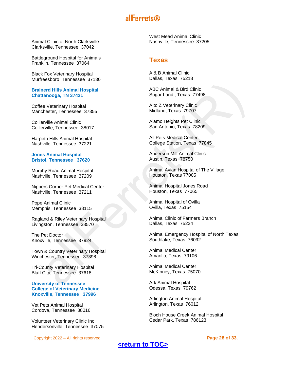Animal Clinic of North Clarksville Clarksville, Tennessee 37042

Battleground Hospital for Animals Franklin, Tennessee 37064

Black Fox Veterinary Hospital Murfreesboro, Tennessee 37130

#### **Brainerd Hills Animal Hospital Chattanooga, TN 37421**

Coffee Veterinary Hospital Manchester, Tennessee 37355

Collierville Animal Clinic Collierville, Tennessee 38017

Harpeth Hills Animal Hospital Nashville, Tennessee 37221

#### **Jones Animal Hospital Bristol, Tennessee 37620**

Murphy Road Animal Hospital Nashville, Tennessee 37209

Nippers Corner Pet Medical Center Nashville, Tennessee 37211

Pope Animal Clinic Memphis, Tennessee 38115

Ragland & Riley Veterinary Hospital Livingston, Tennessee 38570

The Pet Doctor Knoxville, Tennessee 37924

Town & Country Veterinary Hospital Winchester, Tennessee 37398

Tri-County Veterinary Hospital Bluff City, Tennessee 37618

#### **University of Tennessee College of Veterinary Medicine Knoxville, Tennessee 37996**

Vet Pets Animal Hospital Cordova, Tennessee 38016

Volunteer Veterinary Clinic Inc. Hendersonville, Tennessee 37075

Copyright 2022 – All rights reserved **Page 28 of 33.**

West Mead Animal Clinic Nashville, Tennessee 37205

## <span id="page-27-0"></span>**Texas**

A & B Animal Clinic Dallas, Texas 75218

ABC Animal & Bird Clinic Sugar Land , Texas 77498

A to Z Veterinary Clinic Midland, Texas 79707

Alamo Heights Pet Clinic San Antonio, Texas 78209

All Pets Medical Center College Station, Texas 77845

Anderson Mill Animal Clinic Austin, Texas 78750

Animal Avian Hospital of The Village Houston, Texas 77005

Animal Hospital Jones Road Houston, Texas 77065

Animal Hospital of Ovilla Ovilla, Texas 75154

Animal Clinic of Farmers Branch Dallas, Texas 75234

Animal Emergency Hospital of North Texas Southlake, Texas 76092

Animal Medical Center Amarillo, Texas 79106

Animal Medical Center McKinney, Texas 75070

Ark Animal Hospital Odessa, Texas 79762

Arlington Animal Hospital Arlington, Texas 76012

Bloch House Creek Animal Hospital Cedar Park, Texas 786123

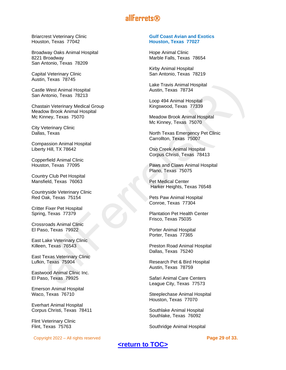Briarcrest Veterinary Clinic Houston, Texas 77042

Broadway Oaks Animal Hospital 8221 Broadway San Antonio, Texas 78209

Capital Veterinary Clinic Austin, Texas 78745

Castle West Animal Hospital San Antonio, Texas 78213

Chastain Veterinary Medical Group Meadow Brook Animal Hospital Mc Kinney, Texas 75070

City Veterinary Clinic Dallas, Texas

Compassion Animal Hospital Liberty Hill, TX 78642

Copperfield Animal Clinic Houston, Texas 77095

Country Club Pet Hospital Mansfield, Texas 76063

Countryside Veterinary Clinic Red Oak, Texas 75154

Critter Fixer Pet Hospital Spring, Texas 77379

Crossroads Animal Clinic El Paso, Texas 79922

East Lake Veterinary Clinic Killeen, Texas 76543

East Texas Veterinary Clinic Lufkin, Texas 75904

Eastwood Animal Clinic Inc. El Paso, Texas 79925

Emerson Animal Hospital Waco, Texas 76710

Everhart Animal Hospital Corpus Christi, Texas 78411

Flint Veterinary Clinic Flint, Texas 75763

Copyright 2022 – All rights reserved **Page 29 of 33.**

#### **Gulf Coast Avian and Exotics Houston, Texas 77027**

Hope Animal Clinic Marble Falls, Texas 78654

Kirby Animal Hospital San Antonio, Texas 78219

Lake Travis Animal Hospital Austin, Texas 78734

Loop 494 Animal Hospital Kingswood, Texas 77339

Meadow Brook Animal Hospital Mc Kinney, Texas 75070

North Texas Emergency Pet Clinic Carrollton, Texas 75007

Oso Creek Animal Hospital Corpus Christi, Texas 78413

Paws and Claws Animal Hospital Plano, Texas 75075

Pet Medical Center Harker Heights, Texas 76548

Pets Paw Animal Hospital Conroe, Texas 77304

Plantation Pet Health Center Frisco, Texas 75035

Porter Animal Hospital Porter, Texas 77365

Preston Road Animal Hospital Dallas, Texas 75240

Research Pet & Bird Hospital Austin, Texas 78759

Safari Animal Care Centers League City, Texas 77573

Steeplechase Animal Hospital Houston, Texas 77070

Southlake Animal Hospital Southlake, Texas 76092

Southridge Animal Hospital

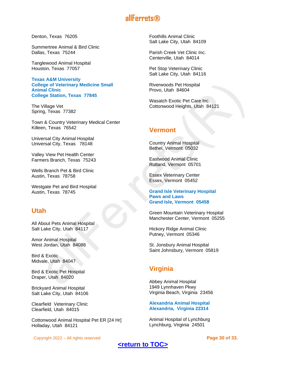Denton, Texas 76205

Summertree Animal & Bird Clinic Dallas, Texas 75244

Tanglewood Animal Hospital Houston, Texas 77057

**Texas A&M University College of Veterinary Medicine Small Animal Clinic College Station, Texas 77845**

The Village Vet Spring, Texas 77382

Town & Country Veterinary Medical Center Killeen, Texas 76542

Universal City Animal Hospital Universal City, Texas 78148

Valley View Pet Health Center Farmers Branch, Texas 75243

Wells Branch Pet & Bird Clinic Austin, Texas 78758

Westgate Pet and Bird Hospital Austin, Texas 78745

## <span id="page-29-0"></span>**Utah**

All About Pets Animal Hospital Salt Lake City, Utah 84117

Amor Animal Hospital West Jordan, Utah 84088

Bird & Exotic Midvale, Utah 84047

Bird & Exotic Pet Hospital Draper, Utah 84020

Brickyard Animal Hospital Salt Lake City, Utah 84106

Clearfield Veterinary Clinic Clearfield, Utah 84015

Cottonwood Animal Hospital Pet ER [24 Hr] Holladay, Utah 84121

Copyright 2022 – All rights reserved **Page 30 of 33.**

Foothills Animal Clinic Salt Lake City, Utah 84109

Parish Creek Vet Clinic Inc. Centerville, Utah 84014

Pet Stop Veterinary Clinic Salt Lake City, Utah 84116

Riverwoods Pet Hospital Provo, Utah 84604

Wasatch Exotic Pet Care Inc. Cottonwood Heights, Utah 84121

## <span id="page-29-1"></span>**Vermont**

Country Animal Hospital Bethel, Vermont 05032

Eastwood Animal Clinic Rutland, Vermont 05701

Essex Veterinary Center Essex, Vermont 05452

**Grand Isle Veterinary Hospital Paws and Laws Grand Isle, Vermont 05458**

Green Mountain Veterinary Hospital Manchester Center, Vermont 05255

Hickory Ridge Animal Clinic Putney, Vermont 05346

St. Jonsbury Animal Hospital Saint Johnsbury, Vermont 05819

## <span id="page-29-2"></span>**Virginia**

Abbey Animal Hospital 1949 Lynnhaven Pkwy Virginia Beach, Virginia 23456

**Alexandria Animal Hospital Alexandria, Virginia 22314**

Animal Hospital of Lynchburg Lynchburg, Virginia 24501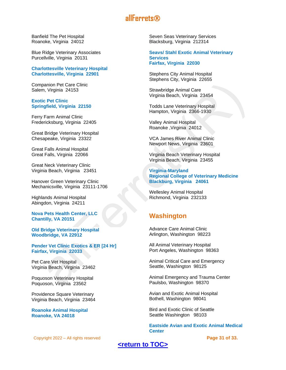Banfield The Pet Hospital Roanoke, Virginia 24012

Blue Ridge Veterinary Associates Purcellville, Virginia 20131

**Charlottesville Veterinary Hospital Charlottesville, Virginia 22901**

Companion Pet Care Clinic Salem, Virginia 24153

#### **Exotic Pet Clinic Springfield, Virginia 22150**

Ferry Farm Animal Clinic Fredericksburg, Virginia 22405

Great Bridge Veterinary Hospital Chesapeake, Virginia 23322

Great Falls Animal Hospital Great Falls, Virginia 22066

Great Neck Veterinary Clinic Virginia Beach, Virginia 23451

Hanover Green Veterinary Clinic Mechanicsville, Virginia 23111-1706

Highlands Animal Hospital Abingdon, Virginia 24211

**Nova Pets Health Center, LLC Chantilly, VA 20151**

**Old Bridge Veterinary Hospital Woodbridge, VA 22912**

**Pender Vet Clinic Exotics & ER [24 Hr] Fairfax, Virginia 22033**

Pet Care Vet Hospital Virginia Beach, Virginia 23462

Poquoson Veterinary Hospital Poquoson, Virginia 23562

Providence Square Veterinary Virginia Beach, Virginia 23464

**Roanoke Animal Hospital Roanoke, VA 24018**

Copyright 2022 – All rights reserved **Page 31 of 33.**

Seven Seas Veterinary Services Blacksburg, Virginia 212314

**Seavs/ Stahl Exotic Animal Veterinary Services Fairfax, Virginia 22030**

Stephens City Animal Hospital Stephens City, Virginia 22655

Strawbridge Animal Care Virginia Beach, Virginia 23454

Todds Lane Veterinary Hospital Hampton, Virginia 2366-1930

Valley Animal Hospital Roanoke ,Virginia 24012

VCA James River Animal Clinic Newport News, Virginia 23601

Virginia Beach Veterinary Hospital Virginia Beach, Virginia 23455

**Virginia-Maryland Regional College of Veterinary Medicine Blackburg, Virginia 24061**

Wellesley Animal Hospital Richmond, Virginia 232133

## <span id="page-30-0"></span>**Washington**

Advance Care Animal Clinic Arlington, Washington 98223

All Animal Veterinary Hospital Port Angeles, Washington 98363

Animal Critical Care and Emergency Seattle, Washington 98125

Animal Emergency and Trauma Center Paulsbo, Washington 98370

Avian and Exotic Animal Hospital Bothell, Washington 98041

Bird and Exotic Clinic of Seattle Seattle Washington 98103

**Eastside Avian and Exotic Animal Medical Center**

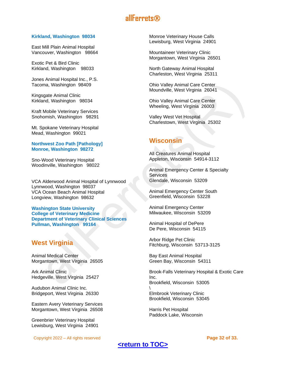#### **Kirkland, Washington 98034**

East Mill Plain Animal Hospital Vancouver, Washington 98664

Exotic Pet & Bird Clinic Kirkland, Washington 98033

Jones Animal Hospital Inc., P.S. Tacoma, Washington 98409

Kingsgate Animal Clinic Kirkland, Washington 98034

Kraft Mobile Veterinary Services Snohomish, Washington 98291

Mt. Spokane Veterinary Hospital Mead, Washington 99021

#### **Northwest Zoo Path [Pathology] Monroe, Washington 98272**

Sno-Wood Veterinary Hospital Woodinville, Washington 98022

VCA Alderwood Animal Hospital of Lynnwood Lynnwood, Washington 98037 VCA Ocean Beach Animal Hospital Longview, Washington 98632

**Washington State University College of Veterinary Medicine Department of Veterinary Clinical Sciences Pullman, Washington 99164**

## <span id="page-31-0"></span>**West Virginia**

Animal Medical Center Morgantown, West Virginia 26505

Ark Animal Clinic Hedgeville, West Virginia 25427

Audubon Animal Clinic Inc. Bridgeport, West Virginia 26330

Eastern Avery Veterinary Services Morgantown, West Virginia 26508

Greenbrier Veterinary Hospital Lewisburg, West Virginia 24901

Copyright 2022 – All rights reserved **Page 32 of 33.**

Monroe Veterinary House Calls Lewisburg, West Virginia 24901

Mountaineer Veterinary Clinic Morgantown, West Virginia 26501

North Gateway Animal Hospital Charleston, West Virginia 25311

Ohio Valley Animal Care Center Moundville, West Virginia 26041

Ohio Valley Animal Care Center Wheeling, West Virginia 26003

Valley West Vet Hospital Charlestown, West Virginia 25302

## <span id="page-31-1"></span>**Wisconsin**

All Creatures Animal Hospital Appleton, Wisconsin 54914-3112

Animal Emergency Center & Specialty **Services** Glendale, Wisconsin 53209

Animal Emergency Center South Greenfield, Wisconsin 53228

Animal Emergency Center Milwaukee, Wisconsin 53209

Animal Hospital of DePere De Pere, Wisconsin 54115

Arbor Ridge Pet Clinic Fitchburg, Wisconsin 53713-3125

Bay East Animal Hospital Green Bay, Wisconsin 54311

Brook-Falls Veterinary Hospital & Exotic Care Inc. Brookfield, Wisconsin 53005 \ Elmbrook Veterinary Clinic Brookfield, Wisconsin 53045

Harris Pet Hospital Paddock Lake, Wisconsin